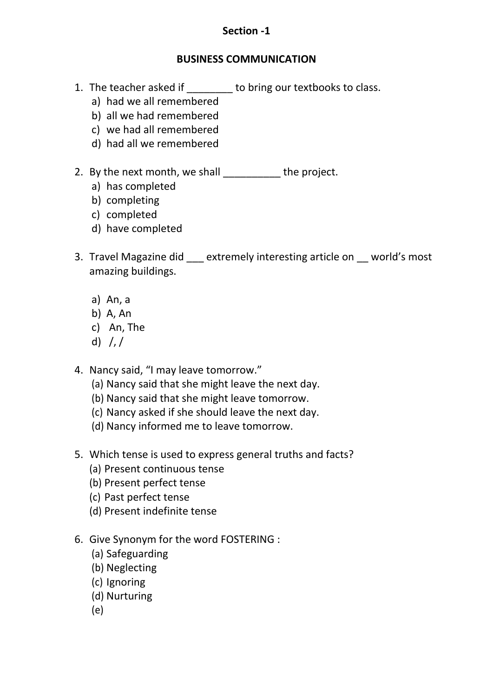#### **Section -1**

#### **BUSINESS COMMUNICATION**

- 1. The teacher asked if \_\_\_\_\_\_\_\_ to bring our textbooks to class.
	- a) had we all remembered
	- b) all we had remembered
	- c) we had all remembered
	- d) had all we remembered
- 2. By the next month, we shall the project.
	- a) has completed
	- b) completing
	- c) completed
	- d) have completed
- 3. Travel Magazine did extremely interesting article on world's most amazing buildings.
	- a) An, a
	- b) A, An
	- c) An, The
	- d)  $/$ ,  $/$
- 4. Nancy said, "I may leave tomorrow."
	- (a) Nancy said that she might leave the next day.
	- (b) Nancy said that she might leave tomorrow.
	- (c) Nancy asked if she should leave the next day.
	- (d) Nancy informed me to leave tomorrow.
- 5. Which tense is used to express general truths and facts?
	- (a) Present continuous tense
	- (b) Present perfect tense
	- (c) Past perfect tense
	- (d) Present indefinite tense
- 6. Give Synonym for the word FOSTERING :
	- (a) Safeguarding
	- (b) Neglecting
	- (c) Ignoring
	- (d) Nurturing
	- (e)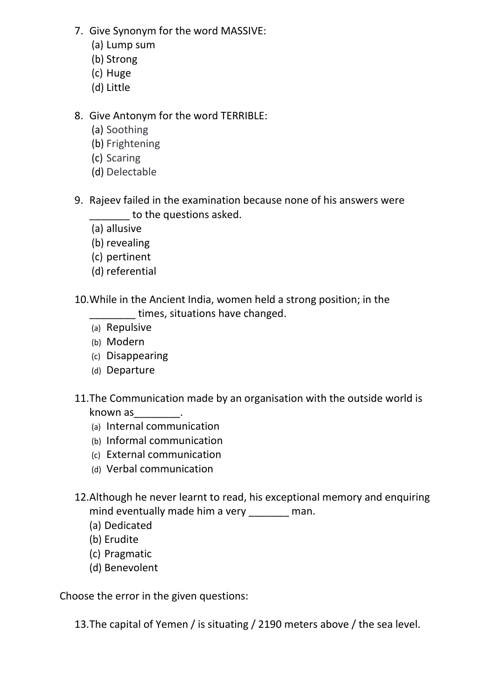- 7. Give Synonym for the word MASSIVE:
	- (a) Lump sum
	- (b) Strong
	- (c) Huge
	- (d) Little

## 8. Give Antonym for the word TERRIBLE:

- (a) Soothing
- (b) Frightening
- (c) Scaring
- (d) Delectable
- 9. Rajeev failed in the examination because none of his answers were to the questions asked.
	- (a) allusive
	- (b) revealing
	- (c) pertinent
	- (d) referential
- 10.While in the Ancient India, women held a strong position; in the
	- \_\_\_\_\_\_\_\_ times, situations have changed.
	- (a) Repulsive
	- (b) Modern
	- (c) Disappearing
	- (d) Departure
- 11.The Communication made by an organisation with the outside world is known as  $\frac{1}{2}$ .
	- (a) Internal communication
	- (b) Informal communication
	- (c) External communication
	- (d) Verbal communication
- 12.Although he never learnt to read, his exceptional memory and enquiring mind eventually made him a very man.
	- (a) Dedicated
	- (b) Erudite
	- (c) Pragmatic
	- (d) Benevolent

Choose the error in the given questions:

13.The capital of Yemen / is situating / 2190 meters above / the sea level.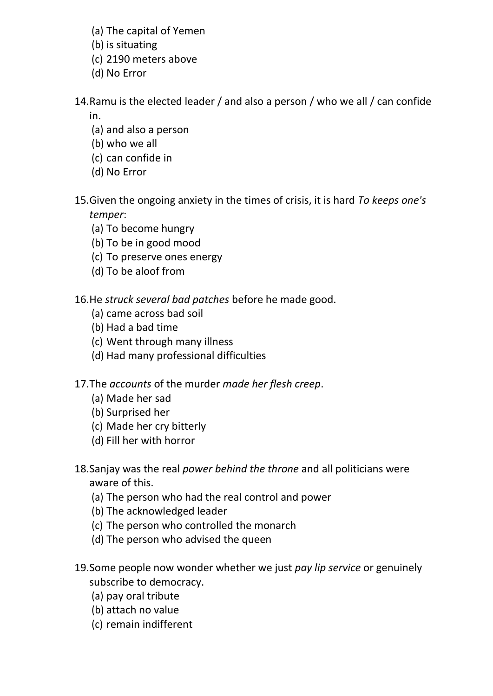- (a) The capital of Yemen
- (b) is situating
- (c) 2190 meters above
- (d) No Error

14.Ramu is the elected leader / and also a person / who we all / can confide

in.

- (a) and also a person
- (b) who we all
- (c) can confide in
- (d) No Error
- 15.Given the ongoing anxiety in the times of crisis, it is hard *To keeps one's temper*:
	- (a) To become hungry
	- (b) To be in good mood
	- (c) To preserve ones energy
	- (d) To be aloof from

16.He *struck several bad patches* before he made good.

- (a) came across bad soil
- (b) Had a bad time
- (c) Went through many illness
- (d) Had many professional difficulties

17.The *accounts* of the murder *made her flesh creep*.

- (a) Made her sad
- (b) Surprised her
- (c) Made her cry bitterly
- (d) Fill her with horror
- 18.Sanjay was the real *power behind the throne* and all politicians were aware of this.
	- (a) The person who had the real control and power
	- (b) The acknowledged leader
	- (c) The person who controlled the monarch
	- (d) The person who advised the queen
- 19.Some people now wonder whether we just *pay lip service* or genuinely subscribe to democracy.
	- (a) pay oral tribute
	- (b) attach no value
	- (c) remain indifferent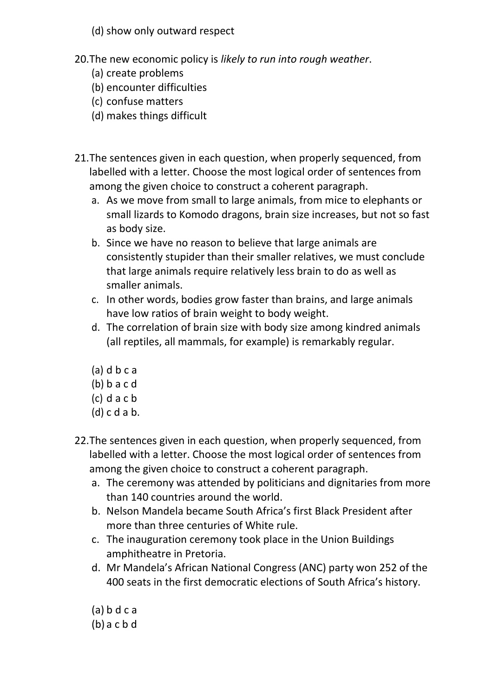- (d) show only outward respect
- 20.The new economic policy is *likely to run into rough weather*.
	- (a) create problems
	- (b) encounter difficulties
	- (c) confuse matters
	- (d) makes things difficult
- 21.The sentences given in each question, when properly sequenced, from labelled with a letter. Choose the most logical order of sentences from among the given choice to construct a coherent paragraph.
	- a. As we move from small to large animals, from mice to elephants or small lizards to Komodo dragons, brain size increases, but not so fast as body size.
	- b. Since we have no reason to believe that large animals are consistently stupider than their smaller relatives, we must conclude that large animals require relatively less brain to do as well as smaller animals.
	- c. In other words, bodies grow faster than brains, and large animals have low ratios of brain weight to body weight.
	- d. The correlation of brain size with body size among kindred animals (all reptiles, all mammals, for example) is remarkably regular.
	- (a) d b c a
	- (b) b a c d
	- (c) d a c b
	- (d) c d a b.
- 22.The sentences given in each question, when properly sequenced, from labelled with a letter. Choose the most logical order of sentences from among the given choice to construct a coherent paragraph.
	- a. The ceremony was attended by politicians and dignitaries from more than 140 countries around the world.
	- b. Nelson Mandela became South Africa's first Black President after more than three centuries of White rule.
	- c. The inauguration ceremony took place in the Union Buildings amphitheatre in Pretoria.
	- d. Mr Mandela's African National Congress (ANC) party won 252 of the 400 seats in the first democratic elections of South Africa's history.
	- (a) b d c a (b) a c b d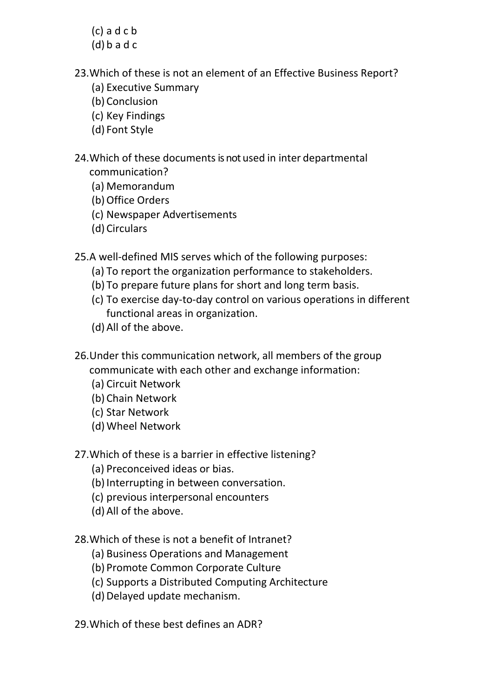- (c) a d c b
- (d) b a d c
- 23.Which of these is not an element of an Effective Business Report?
	- (a) Executive Summary
	- (b) Conclusion
	- (c) Key Findings
	- (d) Font Style

## 24. Which of these documents is not used in inter departmental communication?

- (a) Memorandum
- (b) Office Orders
- (c) Newspaper Advertisements
- (d) Circulars

25.A well-defined MIS serves which of the following purposes:

- (a) To report the organization performance to stakeholders.
- (b) To prepare future plans for short and long term basis.
- (c) To exercise day-to-day control on various operations in different functional areas in organization.
- (d) All of the above.
- 26.Under this communication network, all members of the group communicate with each other and exchange information:
	- (a) Circuit Network
	- (b) Chain Network
	- (c) Star Network
	- (d) Wheel Network
- 27.Which of these is a barrier in effective listening?
	- (a) Preconceived ideas or bias.
	- (b) Interrupting in between conversation.
	- (c) previous interpersonal encounters
	- (d) All of the above.

28.Which of these is not a benefit of Intranet?

- (a) Business Operations and Management
- (b) Promote Common Corporate Culture
- (c) Supports a Distributed Computing Architecture
- (d) Delayed update mechanism.

29.Which of these best defines an ADR?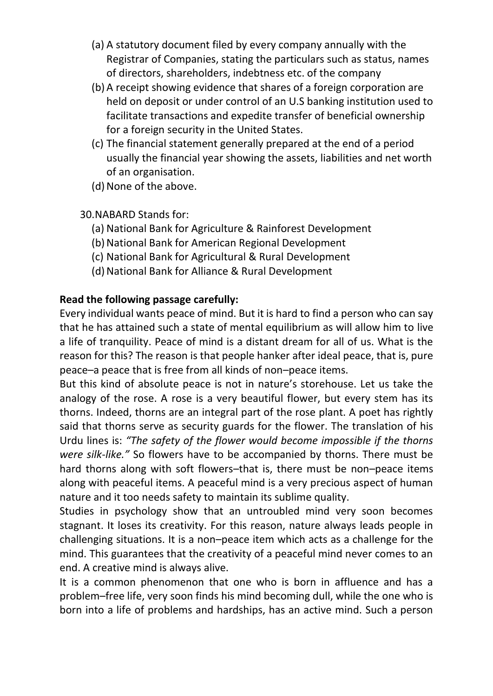- (a) A statutory document filed by every company annually with the Registrar of Companies, stating the particulars such as status, names of directors, shareholders, indebtness etc. of the company
- (b) A receipt showing evidence that shares of a foreign corporation are held on deposit or under control of an U.S banking institution used to facilitate transactions and expedite transfer of beneficial ownership for a foreign security in the United States.
- (c) The financial statement generally prepared at the end of a period usually the financial year showing the assets, liabilities and net worth of an organisation.
- (d) None of the above.
- 30.NABARD Stands for:
	- (a) National Bank for Agriculture & Rainforest Development
	- (b) National Bank for American Regional Development
	- (c) National Bank for Agricultural & Rural Development
	- (d) National Bank for Alliance & Rural Development

### **Read the following passage carefully:**

Every individual wants peace of mind. But it is hard to find a person who can say that he has attained such a state of mental equilibrium as will allow him to live a life of tranquility. Peace of mind is a distant dream for all of us. What is the reason for this? The reason is that people hanker after ideal peace, that is, pure peace–a peace that is free from all kinds of non–peace items.

But this kind of absolute peace is not in nature's storehouse. Let us take the analogy of the rose. A rose is a very beautiful flower, but every stem has its thorns. Indeed, thorns are an integral part of the rose plant. A poet has rightly said that thorns serve as security guards for the flower. The translation of his Urdu lines is: *"The safety of the flower would become impossible if the thorns were silk-like."* So flowers have to be accompanied by thorns. There must be hard thorns along with soft flowers–that is, there must be non–peace items along with peaceful items. A peaceful mind is a very precious aspect of human nature and it too needs safety to maintain its sublime quality.

Studies in psychology show that an untroubled mind very soon becomes stagnant. It loses its creativity. For this reason, nature always leads people in challenging situations. It is a non–peace item which acts as a challenge for the mind. This guarantees that the creativity of a peaceful mind never comes to an end. A creative mind is always alive.

It is a common phenomenon that one who is born in affluence and has a problem–free life, very soon finds his mind becoming dull, while the one who is born into a life of problems and hardships, has an active mind. Such a person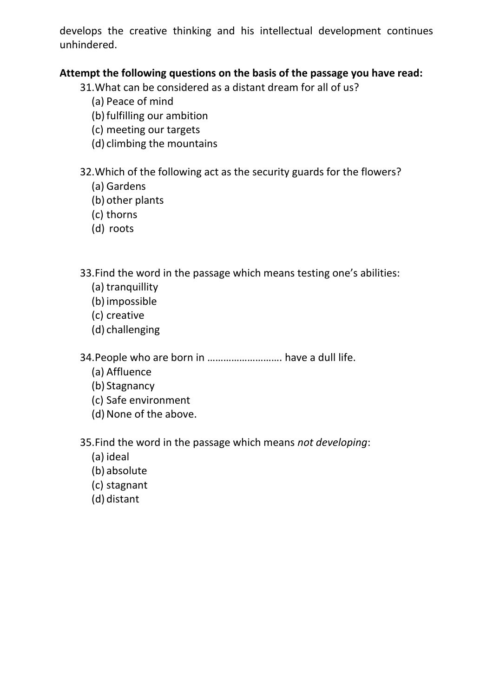develops the creative thinking and his intellectual development continues unhindered.

### **Attempt the following questions on the basis of the passage you have read:**

31.What can be considered as a distant dream for all of us?

- (a) Peace of mind
- (b) fulfilling our ambition
- (c) meeting our targets
- (d) climbing the mountains

32.Which of the following act as the security guards for the flowers?

- (a) Gardens
- (b) other plants
- (c) thorns
- (d) roots

33.Find the word in the passage which means testing one's abilities:

- (a) tranquillity
- (b)impossible
- (c) creative
- (d) challenging

34.People who are born in ………………………. have a dull life.

- (a) Affluence
- (b) Stagnancy
- (c) Safe environment
- (d) None of the above.

35.Find the word in the passage which means *not developing*:

- (a) ideal
- (b) absolute
- (c) stagnant
- (d) distant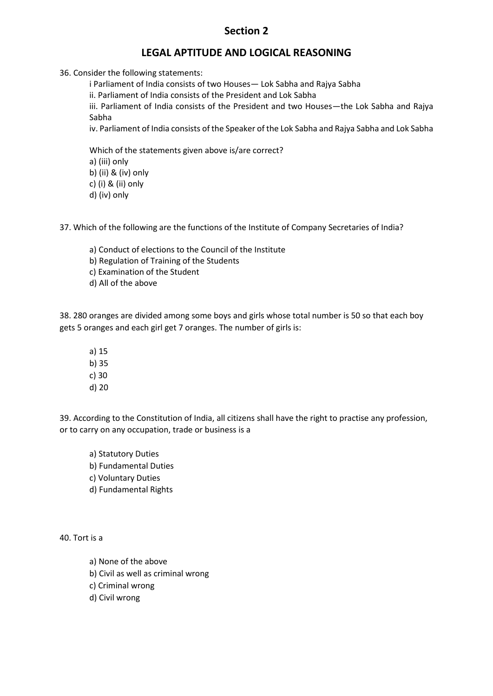#### **Section 2**

#### **LEGAL APTITUDE AND LOGICAL REASONING**

36. Consider the following statements:

i Parliament of India consists of two Houses— Lok Sabha and Rajya Sabha

ii. Parliament of India consists of the President and Lok Sabha

iii. Parliament of India consists of the President and two Houses—the Lok Sabha and Rajya Sabha

iv. Parliament of India consists of the Speaker of the Lok Sabha and Rajya Sabha and Lok Sabha

Which of the statements given above is/are correct? a) (iii) only b) (ii) & (iv) only c) (i) & (ii) only d) (iv) only

37. Which of the following are the functions of the Institute of Company Secretaries of India?

a) Conduct of elections to the Council of the Institute b) Regulation of Training of the Students c) Examination of the Student d) All of the above

38. 280 oranges are divided among some boys and girls whose total number is 50 so that each boy gets 5 oranges and each girl get 7 oranges. The number of girls is:

a) 15 b) 35 c) 30 d) 20

39. According to the Constitution of India, all citizens shall have the right to practise any profession, or to carry on any occupation, trade or business is a

a) Statutory Duties b) Fundamental Duties c) Voluntary Duties d) Fundamental Rights

40. Tort is a

- a) None of the above
- b) Civil as well as criminal wrong
- c) Criminal wrong
- d) Civil wrong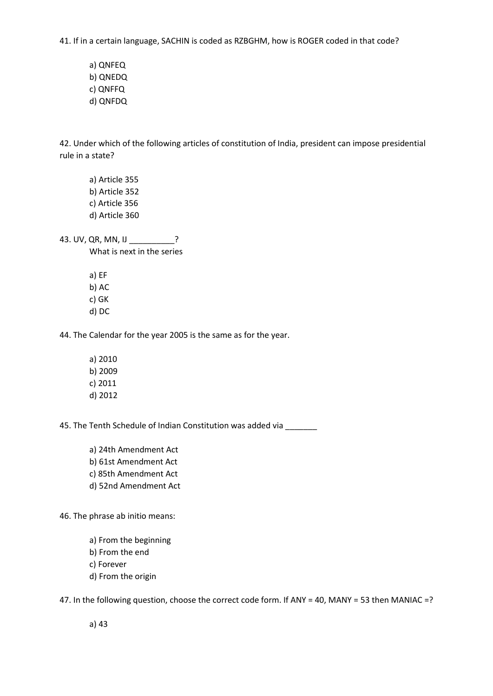41. If in a certain language, SACHIN is coded as RZBGHM, how is ROGER coded in that code?

a) QNFEQ b) QNEDQ c) QNFFQ d) QNFDQ

42. Under which of the following articles of constitution of India, president can impose presidential rule in a state?

a) Article 355 b) Article 352 c) Article 356 d) Article 360

43. UV, QR, MN, IJ \_\_\_\_\_\_\_\_\_\_? What is next in the series

> a) EF b) AC c) GK d) DC

44. The Calendar for the year 2005 is the same as for the year.

a) 2010 b) 2009 c) 2011 d) 2012

45. The Tenth Schedule of Indian Constitution was added via \_\_\_\_\_\_

a) 24th Amendment Act b) 61st Amendment Act c) 85th Amendment Act d) 52nd Amendment Act

46. The phrase ab initio means:

a) From the beginning b) From the end c) Forever d) From the origin

47. In the following question, choose the correct code form. If ANY = 40, MANY = 53 then MANIAC =?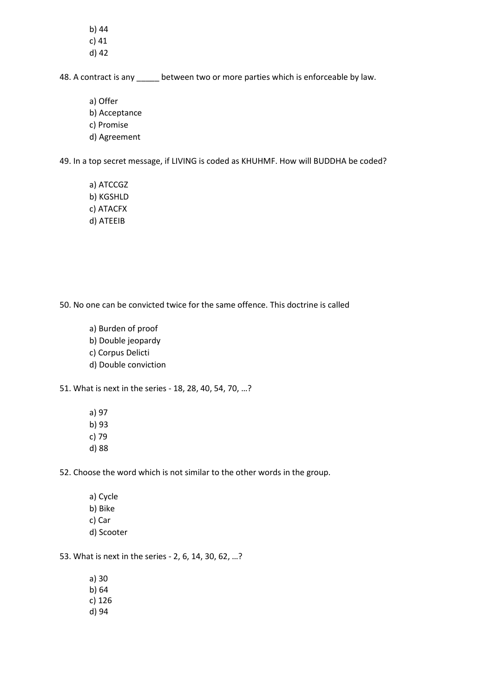b) 44 c) 41 d) 42

48. A contract is any between two or more parties which is enforceable by law.

a) Offer b) Acceptance c) Promise d) Agreement

49. In a top secret message, if LIVING is coded as KHUHMF. How will BUDDHA be coded?

a) ATCCGZ b) KGSHLD c) ATACFX d) ATEEIB

50. No one can be convicted twice for the same offence. This doctrine is called

a) Burden of proof b) Double jeopardy c) Corpus Delicti d) Double conviction

51. What is next in the series - 18, 28, 40, 54, 70, …?

a) 97 b) 93 c) 79 d) 88

52. Choose the word which is not similar to the other words in the group.

a) Cycle b) Bike c) Car d) Scooter

53. What is next in the series - 2, 6, 14, 30, 62, …?

a) 30 b) 64 c) 126 d) 94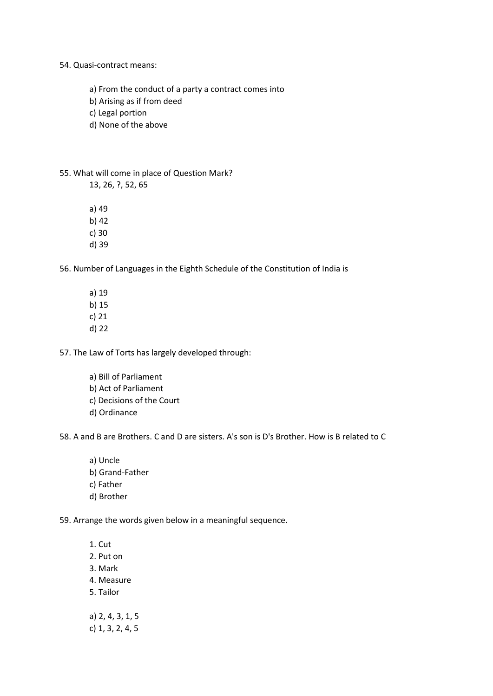54. Quasi-contract means:

a) From the conduct of a party a contract comes into

b) Arising as if from deed

c) Legal portion

d) None of the above

55. What will come in place of Question Mark?

13, 26, ?, 52, 65

a) 49

b) 42

c) 30

d) 39

56. Number of Languages in the Eighth Schedule of the Constitution of India is

a) 19 b) 15 c) 21 d) 22

57. The Law of Torts has largely developed through:

a) Bill of Parliament b) Act of Parliament c) Decisions of the Court d) Ordinance

58. A and B are Brothers. C and D are sisters. A's son is D's Brother. How is B related to C

a) Uncle b) Grand-Father c) Father d) Brother

59. Arrange the words given below in a meaningful sequence.

1. Cut 2. Put on 3. Mark 4. Measure 5. Tailor a) 2, 4, 3, 1, 5

c) 1, 3, 2, 4, 5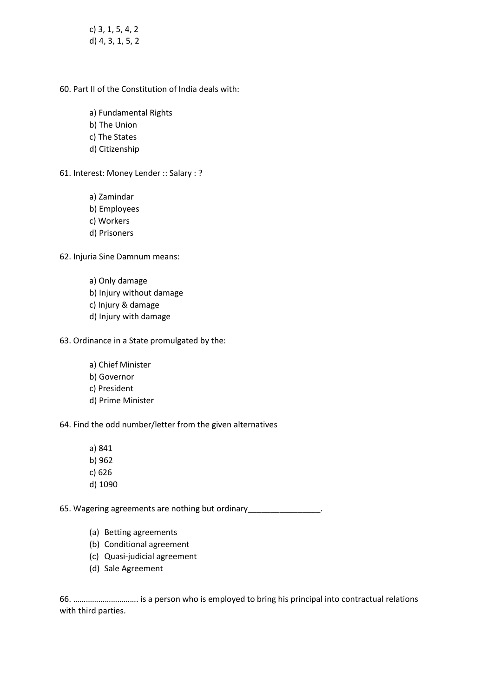c) 3, 1, 5, 4, 2 d) 4, 3, 1, 5, 2

60. Part II of the Constitution of India deals with:

a) Fundamental Rights

- b) The Union
- c) The States
- d) Citizenship
- 61. Interest: Money Lender :: Salary : ?

a) Zamindar

- b) Employees
- c) Workers
- d) Prisoners

62. Injuria Sine Damnum means:

- a) Only damage b) Injury without damage c) Injury & damage d) Injury with damage
- 63. Ordinance in a State promulgated by the:
	- a) Chief Minister b) Governor c) President d) Prime Minister

64. Find the odd number/letter from the given alternatives

- a) 841 b) 962
- c) 626
- d) 1090

65. Wagering agreements are nothing but ordinary\_\_\_\_\_\_\_\_\_\_\_\_\_\_\_\_.

- (a) Betting agreements
- (b) Conditional agreement
- (c) Quasi-judicial agreement
- (d) Sale Agreement

66. …………………………. is a person who is employed to bring his principal into contractual relations with third parties.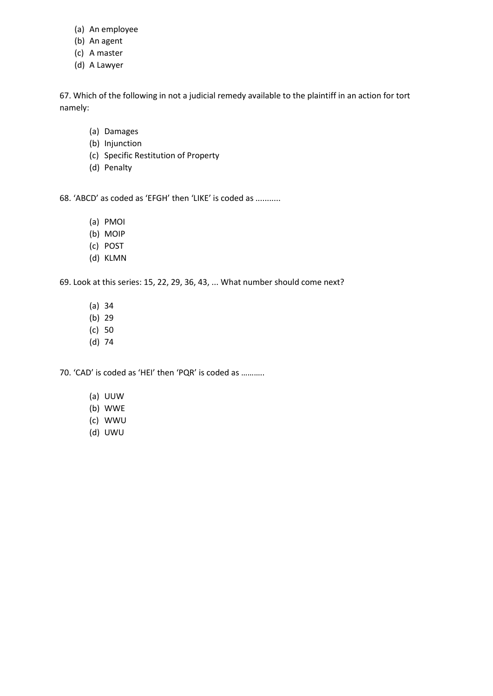- (a) An employee
- (b) An agent
- (c) A master
- (d) A Lawyer

67. Which of the following in not a judicial remedy available to the plaintiff in an action for tort namely:

- (a) Damages
- (b) Injunction
- (c) Specific Restitution of Property
- (d) Penalty

68. 'ABCD' as coded as 'EFGH' then 'LIKE' is coded as ...........

- (a) PMOI
- (b) MOIP
- (c) POST
- (d) KLMN

69. Look at this series: 15, 22, 29, 36, 43, ... What number should come next?

- (a) 34
- (b) 29
- (c) 50
- (d) 74

70. 'CAD' is coded as 'HEI' then 'PQR' is coded as ………..

- (a) UUW
- (b) WWE
- (c) WWU
- (d) UWU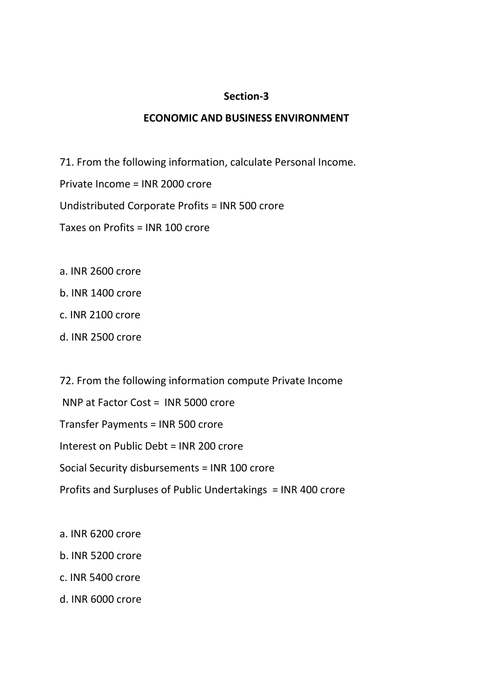#### **Section-3**

#### **ECONOMIC AND BUSINESS ENVIRONMENT**

71. From the following information, calculate Personal Income.

Private Income = INR 2000 crore

Undistributed Corporate Profits = INR 500 crore

Taxes on Profits = INR 100 crore

- a. INR 2600 crore
- b. INR 1400 crore
- c. INR 2100 crore
- d. INR 2500 crore

72. From the following information compute Private Income NNP at Factor Cost = INR 5000 crore Transfer Payments = INR 500 crore Interest on Public Debt = INR 200 crore Social Security disbursements = INR 100 crore Profits and Surpluses of Public Undertakings = INR 400 crore

- a. INR 6200 crore
- b. INR 5200 crore
- c. INR 5400 crore
- d. INR 6000 crore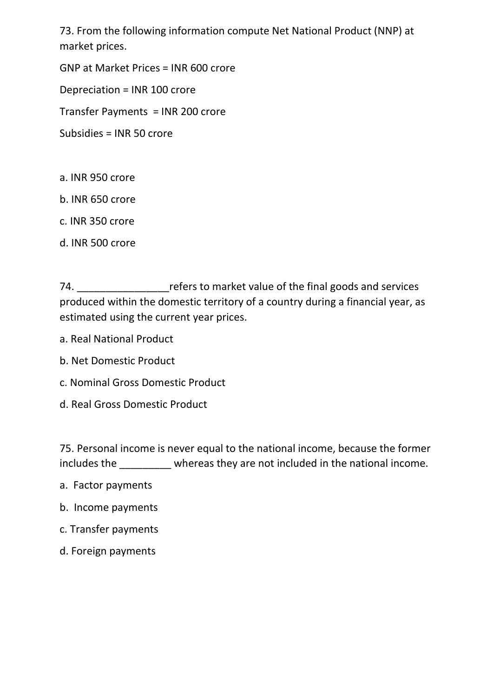73. From the following information compute Net National Product (NNP) at market prices.

GNP at Market Prices = INR 600 crore

Depreciation = INR 100 crore

Transfer Payments = INR 200 crore

Subsidies = INR 50 crore

- a. INR 950 crore
- b. INR 650 crore
- c. INR 350 crore
- d. INR 500 crore

74. \_\_\_\_\_\_\_\_\_\_\_\_\_\_\_\_refers to market value of the final goods and services produced within the domestic territory of a country during a financial year, as estimated using the current year prices.

- a. Real National Product
- b. Net Domestic Product
- c. Nominal Gross Domestic Product
- d. Real Gross Domestic Product

75. Personal income is never equal to the national income, because the former includes the \_\_\_\_\_\_\_\_\_ whereas they are not included in the national income.

- a. Factor payments
- b. Income payments
- c. Transfer payments
- d. Foreign payments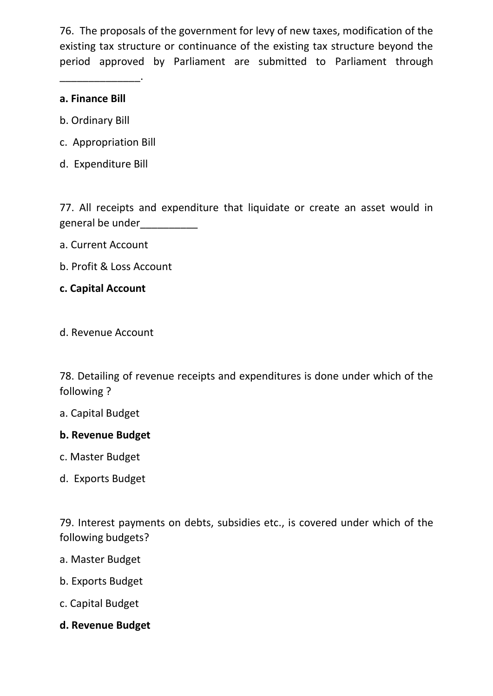76. The proposals of the government for levy of new taxes, modification of the existing tax structure or continuance of the existing tax structure beyond the period approved by Parliament are submitted to Parliament through

## **a. Finance Bill**

\_\_\_\_\_\_\_\_\_\_\_\_\_\_.

- b. Ordinary Bill
- c. Appropriation Bill
- d. Expenditure Bill

77. All receipts and expenditure that liquidate or create an asset would in general be under\_\_\_\_\_\_\_\_\_\_

- a. Current Account
- b. Profit & Loss Account
- **c. Capital Account**
- d. Revenue Account

78. Detailing of revenue receipts and expenditures is done under which of the following ?

#### a. Capital Budget

#### **b. Revenue Budget**

- c. Master Budget
- d. Exports Budget

79. Interest payments on debts, subsidies etc., is covered under which of the following budgets?

- a. Master Budget
- b. Exports Budget
- c. Capital Budget
- **d. Revenue Budget**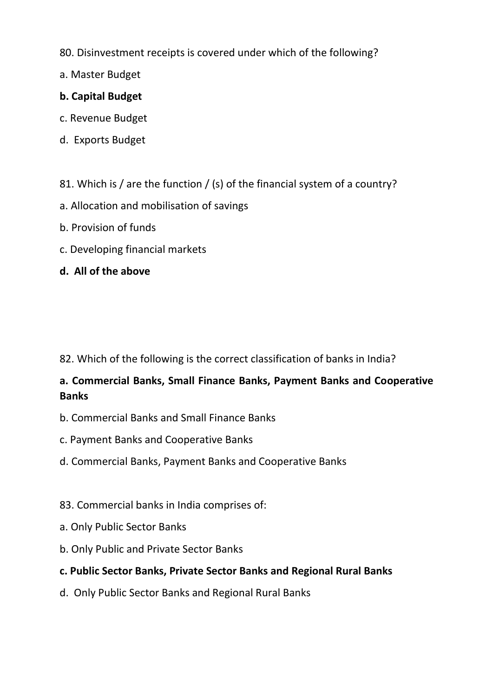- 80. Disinvestment receipts is covered under which of the following?
- a. Master Budget

### **b. Capital Budget**

- c. Revenue Budget
- d. Exports Budget
- 81. Which is / are the function / (s) of the financial system of a country?
- a. Allocation and mobilisation of savings
- b. Provision of funds
- c. Developing financial markets
- **d. All of the above**

82. Which of the following is the correct classification of banks in India?

## **a. Commercial Banks, Small Finance Banks, Payment Banks and Cooperative Banks**

- b. Commercial Banks and Small Finance Banks
- c. Payment Banks and Cooperative Banks
- d. Commercial Banks, Payment Banks and Cooperative Banks
- 83. Commercial banks in India comprises of:
- a. Only Public Sector Banks
- b. Only Public and Private Sector Banks

## **c. Public Sector Banks, Private Sector Banks and Regional Rural Banks**

d. Only Public Sector Banks and Regional Rural Banks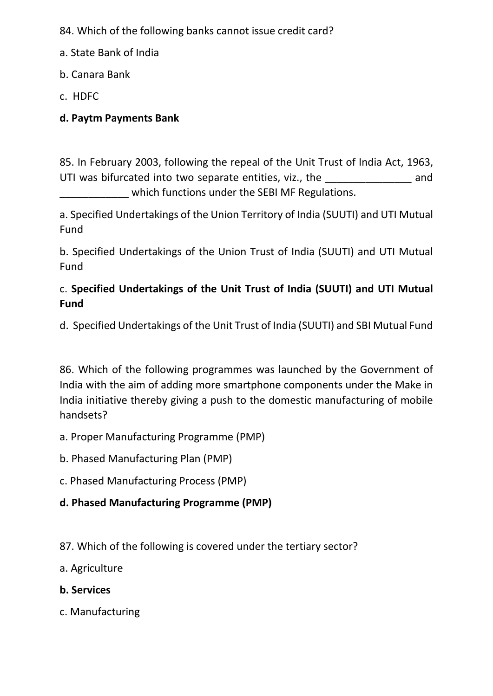84. Which of the following banks cannot issue credit card?

- a. State Bank of India
- b. Canara Bank
- c. HDFC

## **d. Paytm Payments Bank**

85. In February 2003, following the repeal of the Unit Trust of India Act, 1963, UTI was bifurcated into two separate entities, viz., the and which functions under the SEBI MF Regulations.

a. Specified Undertakings of the Union Territory of India (SUUTI) and UTI Mutual Fund

b. Specified Undertakings of the Union Trust of India (SUUTI) and UTI Mutual Fund

## c. **Specified Undertakings of the Unit Trust of India (SUUTI) and UTI Mutual Fund**

d. Specified Undertakings of the Unit Trust of India (SUUTI) and SBI Mutual Fund

86. Which of the following programmes was launched by the Government of India with the aim of adding more smartphone components under the Make in India initiative thereby giving a push to the domestic manufacturing of mobile handsets?

- a. Proper Manufacturing Programme (PMP)
- b. Phased Manufacturing Plan (PMP)
- c. Phased Manufacturing Process (PMP)

## **d. Phased Manufacturing Programme (PMP)**

- 87. Which of the following is covered under the tertiary sector?
- a. Agriculture
- **b. Services**
- c. Manufacturing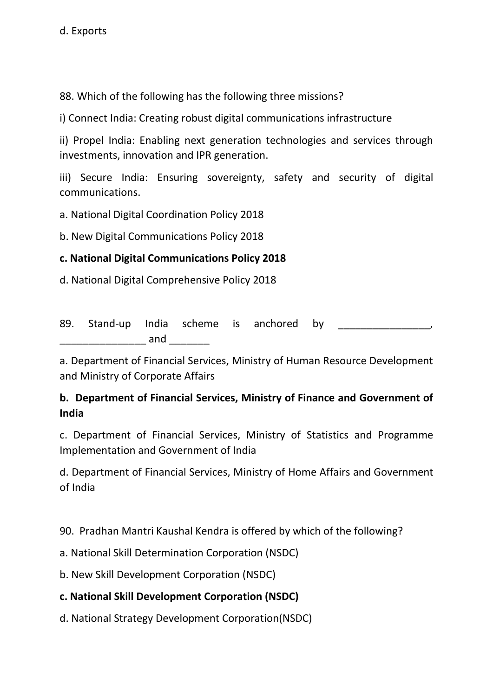88. Which of the following has the following three missions?

i) Connect India: Creating robust digital communications infrastructure

ii) Propel India: Enabling next generation technologies and services through investments, innovation and IPR generation.

iii) Secure India: Ensuring sovereignty, safety and security of digital communications.

a. National Digital Coordination Policy 2018

b. New Digital Communications Policy 2018

## **c. National Digital Communications Policy 2018**

d. National Digital Comprehensive Policy 2018

89. Stand-up India scheme is anchored by  $\Box$  and  $\Box$  and  $\Box$ 

a. Department of Financial Services, Ministry of Human Resource Development and Ministry of Corporate Affairs

## **b. Department of Financial Services, Ministry of Finance and Government of India**

c. Department of Financial Services, Ministry of Statistics and Programme Implementation and Government of India

d. Department of Financial Services, Ministry of Home Affairs and Government of India

90. Pradhan Mantri Kaushal Kendra is offered by which of the following?

a. National Skill Determination Corporation (NSDC)

b. New Skill Development Corporation (NSDC)

## **c. National Skill Development Corporation (NSDC)**

d. National Strategy Development Corporation(NSDC)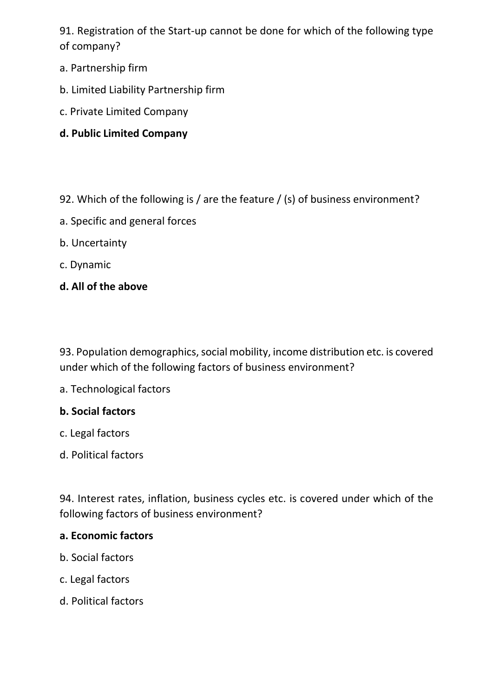91. Registration of the Start-up cannot be done for which of the following type of company?

- a. Partnership firm
- b. Limited Liability Partnership firm
- c. Private Limited Company

## **d. Public Limited Company**

- 92. Which of the following is / are the feature / (s) of business environment?
- a. Specific and general forces
- b. Uncertainty
- c. Dynamic
- **d. All of the above**

93. Population demographics, social mobility, income distribution etc. is covered under which of the following factors of business environment?

a. Technological factors

### **b. Social factors**

- c. Legal factors
- d. Political factors

94. Interest rates, inflation, business cycles etc. is covered under which of the following factors of business environment?

#### **a. Economic factors**

- b. Social factors
- c. Legal factors
- d. Political factors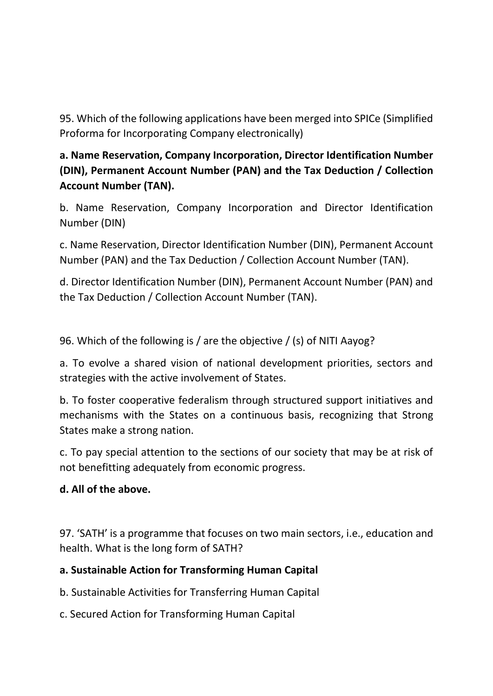95. Which of the following applications have been merged into SPICe (Simplified Proforma for Incorporating Company electronically)

## **a. Name Reservation, Company Incorporation, Director Identification Number (DIN), Permanent Account Number (PAN) and the Tax Deduction / Collection Account Number (TAN).**

b. Name Reservation, Company Incorporation and Director Identification Number (DIN)

c. Name Reservation, Director Identification Number (DIN), Permanent Account Number (PAN) and the Tax Deduction / Collection Account Number (TAN).

d. Director Identification Number (DIN), Permanent Account Number (PAN) and the Tax Deduction / Collection Account Number (TAN).

96. Which of the following is / are the objective / (s) of NITI Aayog?

a. To evolve a shared vision of national development priorities, sectors and strategies with the active involvement of States.

b. To foster cooperative federalism through structured support initiatives and mechanisms with the States on a continuous basis, recognizing that Strong States make a strong nation.

c. To pay special attention to the sections of our society that may be at risk of not benefitting adequately from economic progress.

## **d. All of the above.**

97. 'SATH' is a programme that focuses on two main sectors, i.e., education and health. What is the long form of SATH?

## **a. Sustainable Action for Transforming Human Capital**

b. Sustainable Activities for Transferring Human Capital

c. Secured Action for Transforming Human Capital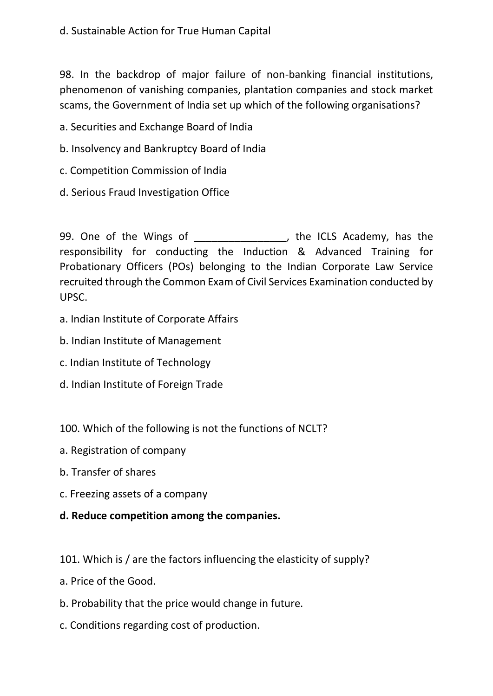### d. Sustainable Action for True Human Capital

98. In the backdrop of major failure of non-banking financial institutions, phenomenon of vanishing companies, plantation companies and stock market scams, the Government of India set up which of the following organisations?

a. Securities and Exchange Board of India

- b. Insolvency and Bankruptcy Board of India
- c. Competition Commission of India
- d. Serious Fraud Investigation Office

99. One of the Wings of \_\_\_\_\_\_\_\_\_\_\_\_\_\_\_, the ICLS Academy, has the responsibility for conducting the Induction & Advanced Training for Probationary Officers (POs) belonging to the Indian Corporate Law Service recruited through the Common Exam of Civil Services Examination conducted by UPSC.

- a. Indian Institute of Corporate Affairs
- b. Indian Institute of Management
- c. Indian Institute of Technology
- d. Indian Institute of Foreign Trade
- 100. Which of the following is not the functions of NCLT?
- a. Registration of company
- b. Transfer of shares
- c. Freezing assets of a company
- **d. Reduce competition among the companies.**
- 101. Which is / are the factors influencing the elasticity of supply?
- a. Price of the Good.
- b. Probability that the price would change in future.
- c. Conditions regarding cost of production.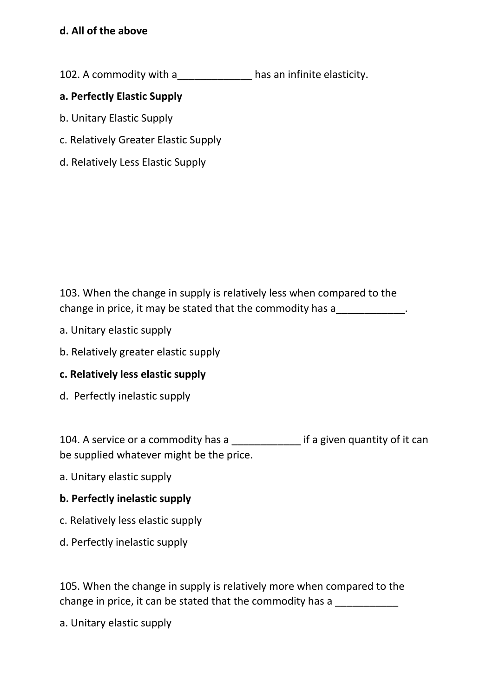## **d. All of the above**

102. A commodity with a same has an infinite elasticity.

### **a. Perfectly Elastic Supply**

- b. Unitary Elastic Supply
- c. Relatively Greater Elastic Supply
- d. Relatively Less Elastic Supply

103. When the change in supply is relatively less when compared to the change in price, it may be stated that the commodity has a\_\_\_\_\_\_\_\_\_\_\_\_\_.

- a. Unitary elastic supply
- b. Relatively greater elastic supply

### **c. Relatively less elastic supply**

d. Perfectly inelastic supply

104. A service or a commodity has a \_\_\_\_\_\_\_\_\_\_\_\_\_\_ if a given quantity of it can be supplied whatever might be the price.

a. Unitary elastic supply

### **b. Perfectly inelastic supply**

- c. Relatively less elastic supply
- d. Perfectly inelastic supply

105. When the change in supply is relatively more when compared to the change in price, it can be stated that the commodity has a

a. Unitary elastic supply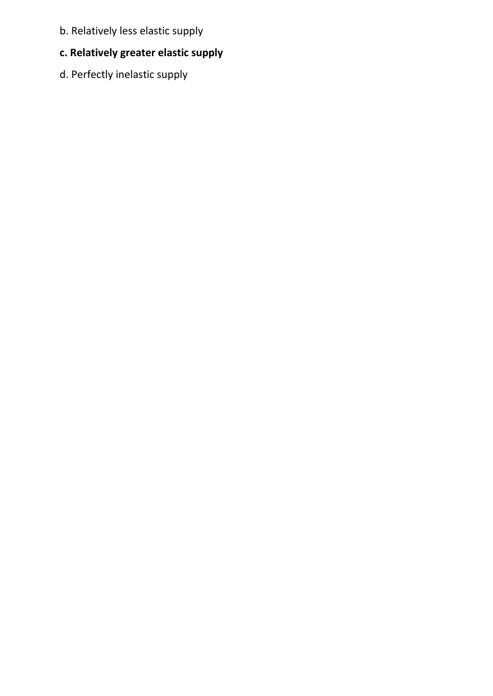- b. Relatively less elastic supply
- **c. Relatively greater elastic supply**
- d. Perfectly inelastic supply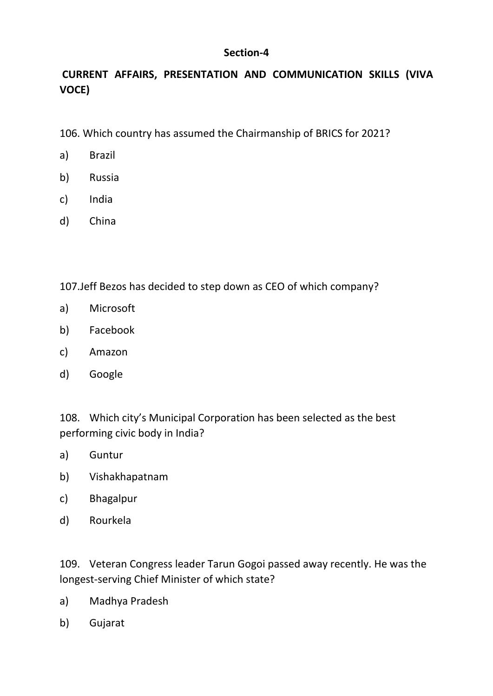#### **Section-4**

## **CURRENT AFFAIRS, PRESENTATION AND COMMUNICATION SKILLS (VIVA VOCE)**

106. Which country has assumed the Chairmanship of BRICS for 2021?

- a) Brazil
- b) Russia
- c) India
- d) China

107.Jeff Bezos has decided to step down as CEO of which company?

- a) Microsoft
- b) Facebook
- c) Amazon
- d) Google

108. Which city's Municipal Corporation has been selected as the best performing civic body in India?

- a) Guntur
- b) Vishakhapatnam
- c) Bhagalpur
- d) Rourkela

109. Veteran Congress leader Tarun Gogoi passed away recently. He was the longest-serving Chief Minister of which state?

- a) Madhya Pradesh
- b) Gujarat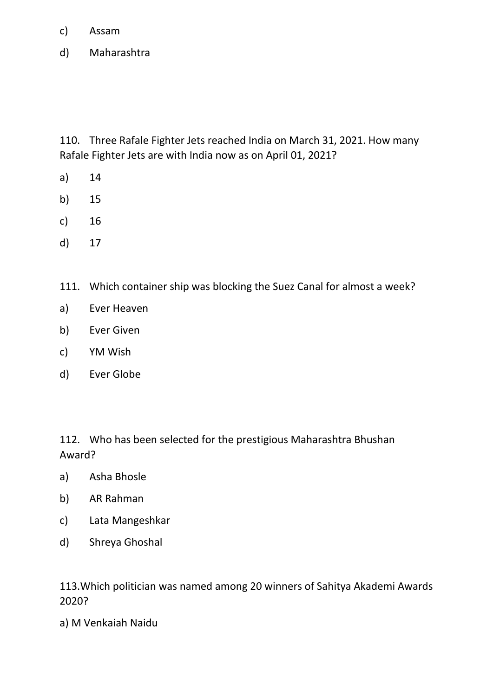- c) Assam
- d) Maharashtra

110. Three Rafale Fighter Jets reached India on March 31, 2021. How many Rafale Fighter Jets are with India now as on April 01, 2021?

- a) 14
- b) 15
- c) 16
- d) 17
- 111. Which container ship was blocking the Suez Canal for almost a week?
- a) Ever Heaven
- b) Ever Given
- c) YM Wish
- d) Ever Globe

112. Who has been selected for the prestigious Maharashtra Bhushan Award?

- a) Asha Bhosle
- b) AR Rahman
- c) Lata Mangeshkar
- d) Shreya Ghoshal

113.Which politician was named among 20 winners of Sahitya Akademi Awards 2020?

a) M Venkaiah Naidu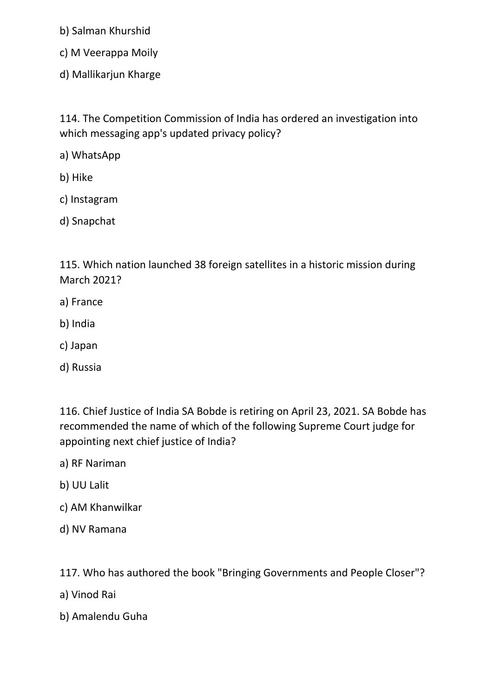b) Salman Khurshid

- c) M Veerappa Moily
- d) Mallikarjun Kharge

114. The Competition Commission of India has ordered an investigation into which messaging app's updated privacy policy?

a) WhatsApp

- b) Hike
- c) Instagram
- d) Snapchat

115. Which nation launched 38 foreign satellites in a historic mission during March 2021?

- a) France
- b) India
- c) Japan
- d) Russia

116. Chief Justice of India SA Bobde is retiring on April 23, 2021. SA Bobde has recommended the name of which of the following Supreme Court judge for appointing next chief justice of India?

- a) RF Nariman
- b) UU Lalit
- c) AM Khanwilkar
- d) NV Ramana

117. Who has authored the book "Bringing Governments and People Closer"?

- a) Vinod Rai
- b) Amalendu Guha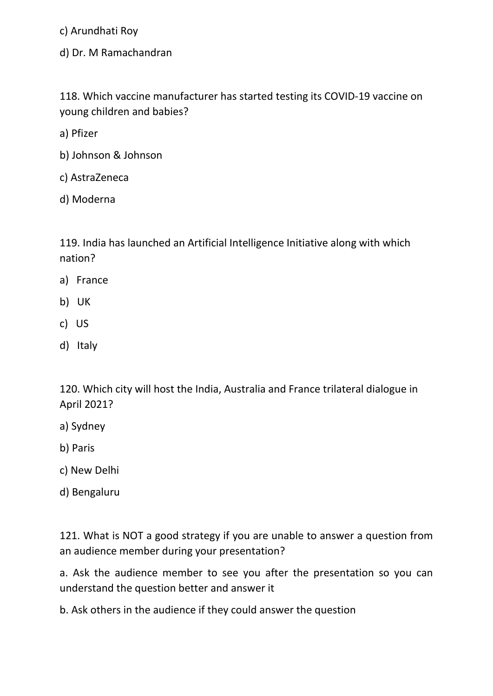c) Arundhati Roy

d) Dr. M Ramachandran

118. Which vaccine manufacturer has started testing its COVID-19 vaccine on young children and babies?

a) Pfizer

- b) Johnson & Johnson
- c) AstraZeneca
- d) Moderna

119. India has launched an Artificial Intelligence Initiative along with which nation?

- a) France
- b) UK
- c) US
- d) Italy

120. Which city will host the India, Australia and France trilateral dialogue in April 2021?

- a) Sydney
- b) Paris
- c) New Delhi
- d) Bengaluru

121. What is NOT a good strategy if you are unable to answer a question from an audience member during your presentation?

a. Ask the audience member to see you after the presentation so you can understand the question better and answer it

b. Ask others in the audience if they could answer the question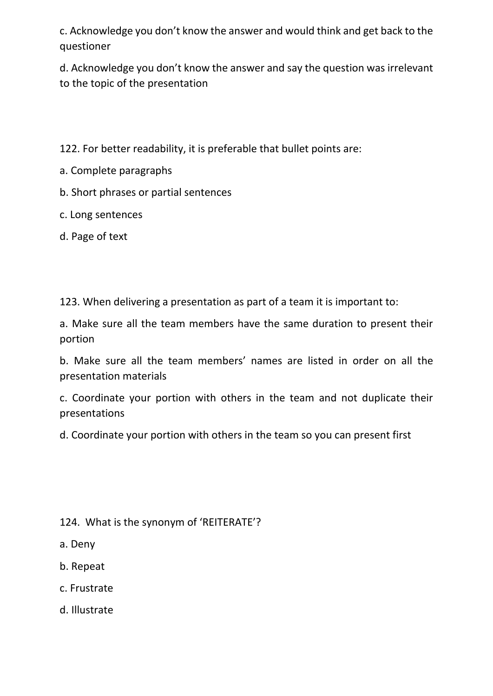c. Acknowledge you don't know the answer and would think and get back to the questioner

d. Acknowledge you don't know the answer and say the question was irrelevant to the topic of the presentation

122. For better readability, it is preferable that bullet points are:

- a. Complete paragraphs
- b. Short phrases or partial sentences
- c. Long sentences
- d. Page of text

123. When delivering a presentation as part of a team it is important to:

a. Make sure all the team members have the same duration to present their portion

b. Make sure all the team members' names are listed in order on all the presentation materials

c. Coordinate your portion with others in the team and not duplicate their presentations

d. Coordinate your portion with others in the team so you can present first

### 124. What is the synonym of 'REITERATE'?

a. Deny

- b. Repeat
- c. Frustrate
- d. Illustrate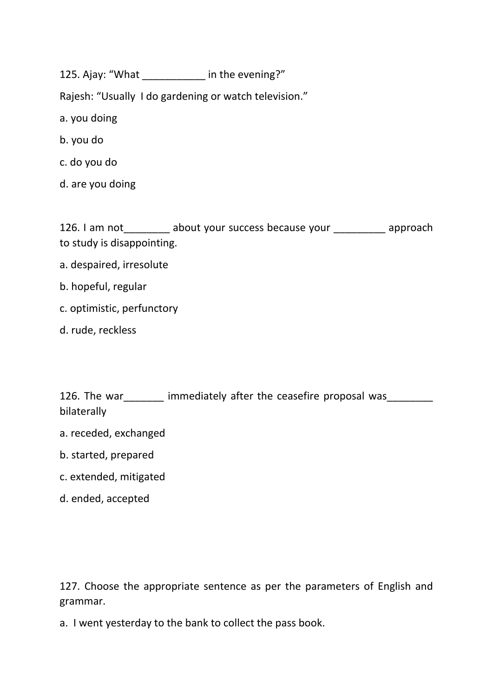125. Ajay: "What in the evening?"

Rajesh: "Usually I do gardening or watch television."

- a. you doing
- b. you do
- c. do you do
- d. are you doing

126. I am not about your success because your approach to study is disappointing.

- a. despaired, irresolute
- b. hopeful, regular
- c. optimistic, perfunctory
- d. rude, reckless

| 126. The war | immediately after the ceasefire proposal was |  |  |  |
|--------------|----------------------------------------------|--|--|--|
| bilaterally  |                                              |  |  |  |

- a. receded, exchanged
- b. started, prepared
- c. extended, mitigated
- d. ended, accepted

127. Choose the appropriate sentence as per the parameters of English and grammar.

a. I went yesterday to the bank to collect the pass book.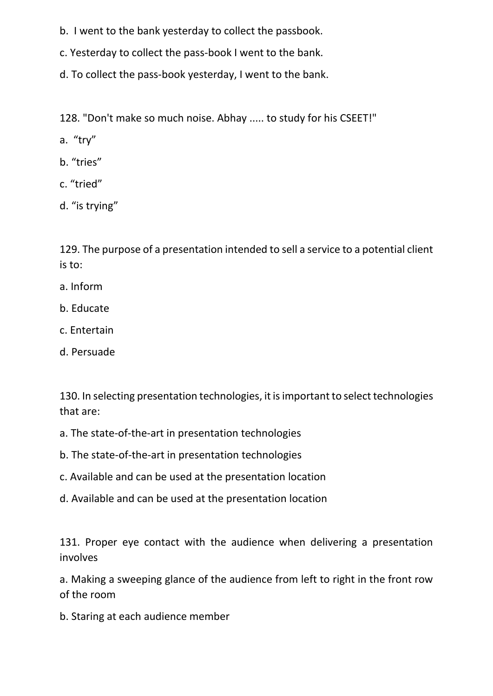- b. I went to the bank yesterday to collect the passbook.
- c. Yesterday to collect the pass-book I went to the bank.
- d. To collect the pass-book yesterday, I went to the bank.

128. "Don't make so much noise. Abhay ..... to study for his CSEET!"

- a. "try"
- b. "tries"
- c. "tried"
- d. "is trying"

129. The purpose of a presentation intended to sell a service to a potential client is to:

- a. Inform
- b. Educate
- c. Entertain
- d. Persuade

130. In selecting presentation technologies, it is important to select technologies that are:

- a. The state-of-the-art in presentation technologies
- b. The state-of-the-art in presentation technologies
- c. Available and can be used at the presentation location
- d. Available and can be used at the presentation location

131. Proper eye contact with the audience when delivering a presentation involves

a. Making a sweeping glance of the audience from left to right in the front row of the room

b. Staring at each audience member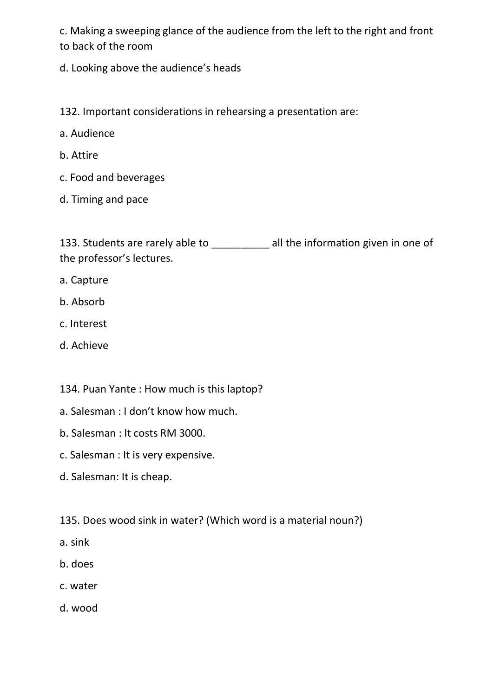c. Making a sweeping glance of the audience from the left to the right and front to back of the room

d. Looking above the audience's heads

132. Important considerations in rehearsing a presentation are:

- a. Audience
- b. Attire
- c. Food and beverages
- d. Timing and pace

133. Students are rarely able to \_\_\_\_\_\_\_\_ all the information given in one of the professor's lectures.

- a. Capture
- b. Absorb
- c. Interest
- d. Achieve
- 134. Puan Yante : How much is this laptop?
- a. Salesman : I don't know how much.
- b. Salesman : It costs RM 3000.
- c. Salesman : It is very expensive.
- d. Salesman: It is cheap.
- 135. Does wood sink in water? (Which word is a material noun?)
- a. sink
- b. does
- c. water
- d. wood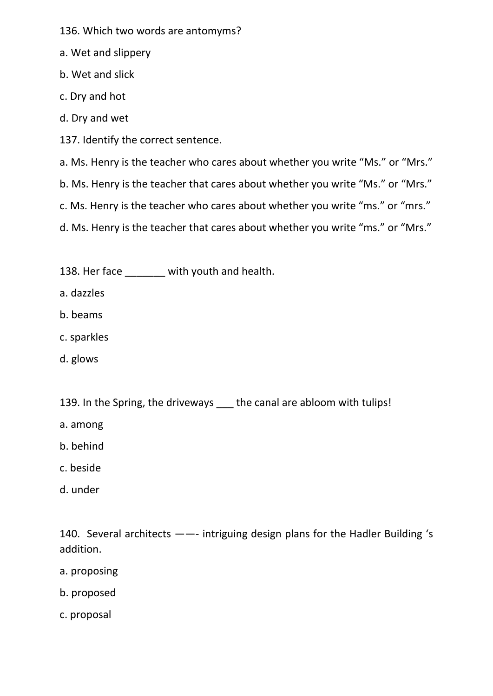- 136. Which two words are antomyms?
- a. Wet and slippery
- b. Wet and slick
- c. Dry and hot
- d. Dry and wet
- 137. Identify the correct sentence.
- a. Ms. Henry is the teacher who cares about whether you write "Ms." or "Mrs."
- b. Ms. Henry is the teacher that cares about whether you write "Ms." or "Mrs."
- c. Ms. Henry is the teacher who cares about whether you write "ms." or "mrs."
- d. Ms. Henry is the teacher that cares about whether you write "ms." or "Mrs."
- 138. Her face \_\_\_\_\_\_ with youth and health.
- a. dazzles
- b. beams
- c. sparkles
- d. glows
- 139. In the Spring, the driveways the canal are abloom with tulips!
- a. among
- b. behind
- c. beside
- d. under

140. Several architects ——- intriguing design plans for the Hadler Building 's addition.

- a. proposing
- b. proposed
- c. proposal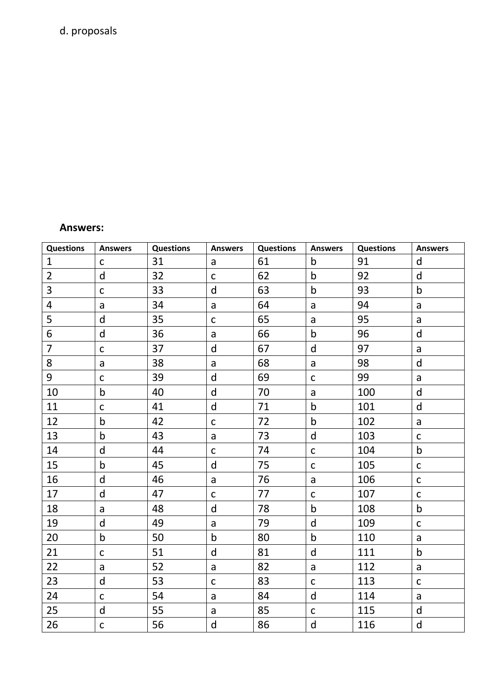# d. proposals

#### **Answers:**

| <b>Questions</b> | <b>Answers</b> | <b>Questions</b> | <b>Answers</b> | <b>Questions</b> | <b>Answers</b> | <b>Questions</b> | <b>Answers</b> |
|------------------|----------------|------------------|----------------|------------------|----------------|------------------|----------------|
| $\mathbf{1}$     | $\mathsf C$    | 31               | $\mathsf{a}$   | 61               | $\mathsf b$    | 91               | $\mathsf{d}$   |
| $\overline{2}$   | $\mathsf{d}$   | 32               | $\mathsf C$    | 62               | $\mathsf b$    | 92               | d              |
| 3                | $\mathsf C$    | 33               | $\sf d$        | 63               | $\sf b$        | 93               | $\mathsf b$    |
| $\overline{4}$   | $\mathsf{a}$   | 34               | $\mathsf{a}$   | 64               | $\mathsf{a}$   | 94               | a              |
| 5                | d              | 35               | $\mathsf C$    | 65               | a              | 95               | $\mathsf{a}$   |
| 6                | $\mathsf{d}$   | 36               | $\mathsf{a}$   | 66               | $\mathsf b$    | 96               | $\mathsf{d}$   |
| $\overline{7}$   | $\mathsf C$    | 37               | $\sf d$        | 67               | $\sf d$        | 97               | a              |
| 8                | $\mathsf{a}$   | 38               | a              | 68               | $\mathsf{a}$   | 98               | $\mathsf{d}$   |
| 9                | $\mathsf C$    | 39               | $\mathsf{d}$   | 69               | $\mathsf C$    | 99               | a              |
| 10               | $\mathsf b$    | 40               | $\mathsf{d}$   | 70               | $\mathsf{a}$   | 100              | $\mathsf{d}$   |
| 11               | $\mathsf C$    | 41               | $\sf d$        | 71               | $\mathsf b$    | 101              | d              |
| 12               | $\mathsf b$    | 42               | $\mathsf C$    | 72               | $\mathsf b$    | 102              | a              |
| 13               | $\mathsf b$    | 43               | $\mathsf{a}$   | 73               | $\mathsf{d}$   | 103              | $\mathsf{C}$   |
| 14               | $\mathsf{d}$   | 44               | $\mathsf C$    | 74               | $\mathsf C$    | 104              | $\mathsf b$    |
| 15               | $\mathsf b$    | 45               | $\mathsf{d}$   | 75               | $\mathsf C$    | 105              | $\mathsf C$    |
| 16               | $\mathsf{d}$   | 46               | $\mathsf a$    | 76               | $\mathsf{a}$   | 106              | $\mathsf C$    |
| 17               | $\mathsf{d}$   | 47               | $\mathsf C$    | 77               | $\mathsf{C}$   | 107              | $\mathsf C$    |
| 18               | $\mathsf{a}$   | 48               | $\mathsf{d}$   | 78               | $\sf b$        | 108              | $\mathsf b$    |
| 19               | $\mathsf{d}$   | 49               | $\mathsf{a}$   | 79               | $\mathsf{d}$   | 109              | $\mathsf C$    |
| 20               | $\mathsf b$    | 50               | $\mathsf b$    | 80               | $\mathsf b$    | 110              | a              |
| 21               | $\mathsf C$    | 51               | $\mathsf{d}$   | 81               | $\mathsf{d}$   | 111              | $\mathsf b$    |
| 22               | $\mathsf{a}$   | 52               | $\mathsf{a}$   | 82               | $\mathsf{a}$   | 112              | $\mathsf{a}$   |
| 23               | d              | 53               | $\mathsf C$    | 83               | $\mathsf C$    | 113              | $\mathsf{C}$   |
| 24               | $\mathsf C$    | 54               | $\mathsf a$    | 84               | ${\sf d}$      | 114              | $\mathsf{a}$   |
| 25               | $\mathsf{d}$   | 55               | $\mathsf{a}$   | 85               | $\mathsf C$    | 115              | $\mathsf{d}$   |
| 26               | $\mathsf C$    | 56               | $\sf d$        | 86               | $\mathsf{d}$   | 116              | ${\sf d}$      |